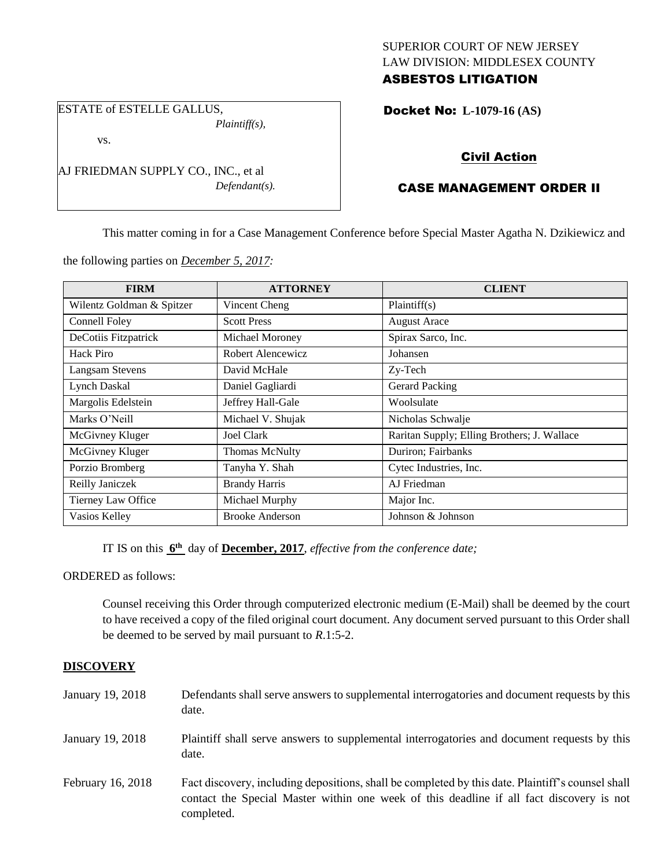## SUPERIOR COURT OF NEW JERSEY LAW DIVISION: MIDDLESEX COUNTY ASBESTOS LITIGATION

ESTATE of ESTELLE GALLUS, *Plaintiff(s),*

vs.

AJ FRIEDMAN SUPPLY CO., INC., et al *Defendant(s).*

## Docket No: **L-1079-16 (AS)**

# Civil Action

# CASE MANAGEMENT ORDER II

This matter coming in for a Case Management Conference before Special Master Agatha N. Dzikiewicz and

the following parties on *December 5, 2017:*

| <b>FIRM</b>               | <b>ATTORNEY</b>        | <b>CLIENT</b>                               |
|---------------------------|------------------------|---------------------------------------------|
| Wilentz Goldman & Spitzer | Vincent Cheng          | Plaintiff $(s)$                             |
| Connell Foley             | <b>Scott Press</b>     | <b>August Arace</b>                         |
| DeCotiis Fitzpatrick      | Michael Moroney        | Spirax Sarco, Inc.                          |
| Hack Piro                 | Robert Alencewicz      | Johansen                                    |
| <b>Langsam Stevens</b>    | David McHale           | Zy-Tech                                     |
| Lynch Daskal              | Daniel Gagliardi       | <b>Gerard Packing</b>                       |
| Margolis Edelstein        | Jeffrey Hall-Gale      | Woolsulate                                  |
| Marks O'Neill             | Michael V. Shujak      | Nicholas Schwalje                           |
| McGivney Kluger           | <b>Joel Clark</b>      | Raritan Supply; Elling Brothers; J. Wallace |
| McGivney Kluger           | <b>Thomas McNulty</b>  | Duriron; Fairbanks                          |
| Porzio Bromberg           | Tanyha Y. Shah         | Cytec Industries, Inc.                      |
| Reilly Janiczek           | <b>Brandy Harris</b>   | AJ Friedman                                 |
| Tierney Law Office        | Michael Murphy         | Major Inc.                                  |
| Vasios Kelley             | <b>Brooke Anderson</b> | Johnson & Johnson                           |

IT IS on this **6 th** day of **December, 2017**, *effective from the conference date;*

ORDERED as follows:

Counsel receiving this Order through computerized electronic medium (E-Mail) shall be deemed by the court to have received a copy of the filed original court document. Any document served pursuant to this Order shall be deemed to be served by mail pursuant to *R*.1:5-2.

### **DISCOVERY**

| January 19, 2018  | Defendants shall serve answers to supplemental interrogatories and document requests by this<br>date.                                                                                                       |
|-------------------|-------------------------------------------------------------------------------------------------------------------------------------------------------------------------------------------------------------|
| January 19, 2018  | Plaintiff shall serve answers to supplemental interrogatories and document requests by this<br>date.                                                                                                        |
| February 16, 2018 | Fact discovery, including depositions, shall be completed by this date. Plaintiff's counsel shall<br>contact the Special Master within one week of this deadline if all fact discovery is not<br>completed. |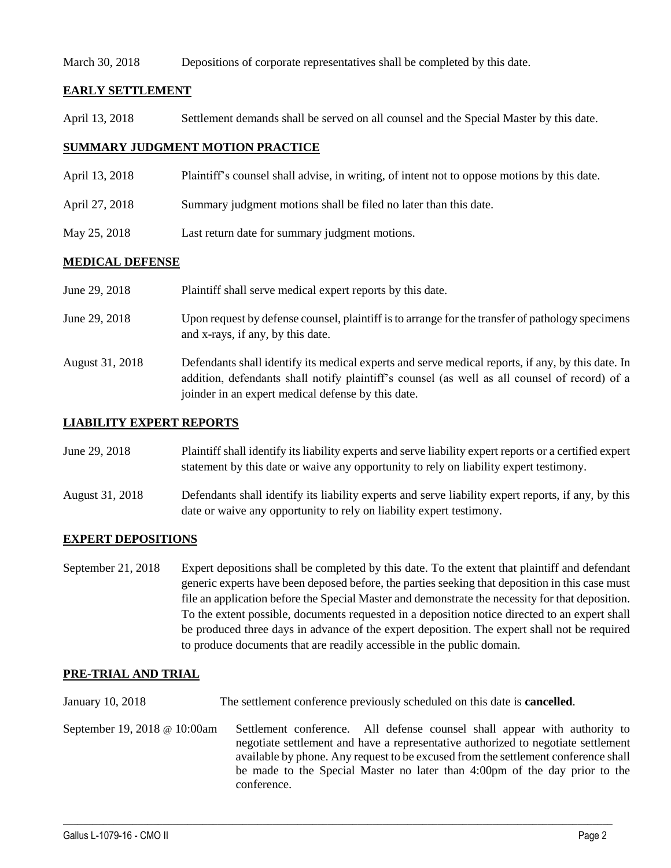#### March 30, 2018 Depositions of corporate representatives shall be completed by this date.

## **EARLY SETTLEMENT**

April 13, 2018 Settlement demands shall be served on all counsel and the Special Master by this date.

## **SUMMARY JUDGMENT MOTION PRACTICE**

- April 13, 2018 Plaintiff's counsel shall advise, in writing, of intent not to oppose motions by this date.
- April 27, 2018 Summary judgment motions shall be filed no later than this date.
- May 25, 2018 Last return date for summary judgment motions.

### **MEDICAL DEFENSE**

| June 29, 2018   | Plaintiff shall serve medical expert reports by this date.                                                                                                                                                                                               |
|-----------------|----------------------------------------------------------------------------------------------------------------------------------------------------------------------------------------------------------------------------------------------------------|
| June 29, 2018   | Upon request by defense counsel, plaintiff is to arrange for the transfer of pathology specimens<br>and x-rays, if any, by this date.                                                                                                                    |
| August 31, 2018 | Defendants shall identify its medical experts and serve medical reports, if any, by this date. In<br>addition, defendants shall notify plaintiff's counsel (as well as all counsel of record) of a<br>joinder in an expert medical defense by this date. |

#### **LIABILITY EXPERT REPORTS**

| June 29, 2018 | Plaintiff shall identify its liability experts and serve liability expert reports or a certified expert |
|---------------|---------------------------------------------------------------------------------------------------------|
|               | statement by this date or waive any opportunity to rely on liability expert testimony.                  |

August 31, 2018 Defendants shall identify its liability experts and serve liability expert reports, if any, by this date or waive any opportunity to rely on liability expert testimony.

## **EXPERT DEPOSITIONS**

September 21, 2018 Expert depositions shall be completed by this date. To the extent that plaintiff and defendant generic experts have been deposed before, the parties seeking that deposition in this case must file an application before the Special Master and demonstrate the necessity for that deposition. To the extent possible, documents requested in a deposition notice directed to an expert shall be produced three days in advance of the expert deposition. The expert shall not be required to produce documents that are readily accessible in the public domain.

#### **PRE-TRIAL AND TRIAL**

January 10, 2018 The settlement conference previously scheduled on this date is **cancelled**.

September 19, 2018 @ 10:00am Settlement conference. All defense counsel shall appear with authority to negotiate settlement and have a representative authorized to negotiate settlement available by phone. Any request to be excused from the settlement conference shall be made to the Special Master no later than 4:00pm of the day prior to the conference.

 $\_$  ,  $\_$  ,  $\_$  ,  $\_$  ,  $\_$  ,  $\_$  ,  $\_$  ,  $\_$  ,  $\_$  ,  $\_$  ,  $\_$  ,  $\_$  ,  $\_$  ,  $\_$  ,  $\_$  ,  $\_$  ,  $\_$  ,  $\_$  ,  $\_$  ,  $\_$  ,  $\_$  ,  $\_$  ,  $\_$  ,  $\_$  ,  $\_$  ,  $\_$  ,  $\_$  ,  $\_$  ,  $\_$  ,  $\_$  ,  $\_$  ,  $\_$  ,  $\_$  ,  $\_$  ,  $\_$  ,  $\_$  ,  $\_$  ,